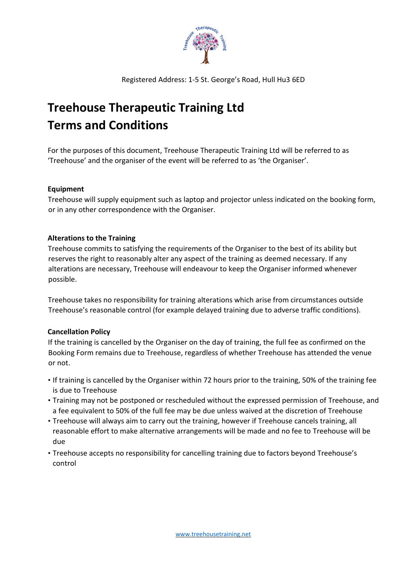

Registered Address: 1-5 St. George's Road, Hull Hu3 6ED

# **Treehouse Therapeutic Training Ltd Terms and Conditions**

For the purposes of this document, Treehouse Therapeutic Training Ltd will be referred to as 'Treehouse' and the organiser of the event will be referred to as 'the Organiser'.

## **Equipment**

Treehouse will supply equipment such as laptop and projector unless indicated on the booking form, or in any other correspondence with the Organiser.

## **Alterations to the Training**

Treehouse commits to satisfying the requirements of the Organiser to the best of its ability but reserves the right to reasonably alter any aspect of the training as deemed necessary. If any alterations are necessary, Treehouse will endeavour to keep the Organiser informed whenever possible.

Treehouse takes no responsibility for training alterations which arise from circumstances outside Treehouse's reasonable control (for example delayed training due to adverse traffic conditions).

# **Cancellation Policy**

If the training is cancelled by the Organiser on the day of training, the full fee as confirmed on the Booking Form remains due to Treehouse, regardless of whether Treehouse has attended the venue or not.

- If training is cancelled by the Organiser within 72 hours prior to the training, 50% of the training fee is due to Treehouse
- Training may not be postponed or rescheduled without the expressed permission of Treehouse, and a fee equivalent to 50% of the full fee may be due unless waived at the discretion of Treehouse
- Treehouse will always aim to carry out the training, however if Treehouse cancels training, all reasonable effort to make alternative arrangements will be made and no fee to Treehouse will be due
- Treehouse accepts no responsibility for cancelling training due to factors beyond Treehouse's control